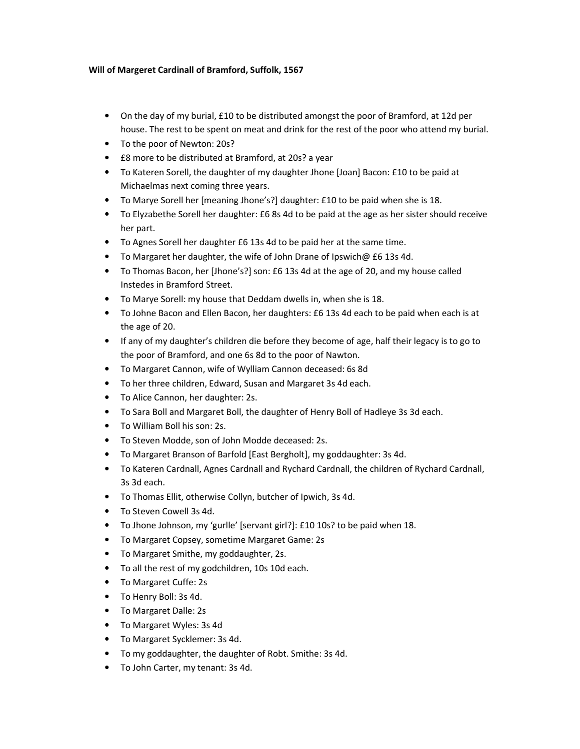## Will of Margeret Cardinall of Bramford, Suffolk, 1567

- On the day of my burial, £10 to be distributed amongst the poor of Bramford, at 12d per house. The rest to be spent on meat and drink for the rest of the poor who attend my burial.
- To the poor of Newton: 20s?
- £8 more to be distributed at Bramford, at 20s? a year
- To Kateren Sorell, the daughter of my daughter Jhone [Joan] Bacon: £10 to be paid at Michaelmas next coming three years.
- To Marye Sorell her [meaning Jhone's?] daughter: £10 to be paid when she is 18.
- To Elyzabethe Sorell her daughter: £6 8s 4d to be paid at the age as her sister should receive her part.
- To Agnes Sorell her daughter £6 13s 4d to be paid her at the same time.
- To Margaret her daughter, the wife of John Drane of Ipswich@ £6 13s 4d.
- To Thomas Bacon, her [Jhone's?] son: £6 13s 4d at the age of 20, and my house called Instedes in Bramford Street.
- To Marye Sorell: my house that Deddam dwells in, when she is 18.
- To Johne Bacon and Ellen Bacon, her daughters: £6 13s 4d each to be paid when each is at the age of 20.
- If any of my daughter's children die before they become of age, half their legacy is to go to the poor of Bramford, and one 6s 8d to the poor of Nawton.
- To Margaret Cannon, wife of Wylliam Cannon deceased: 6s 8d
- To her three children, Edward, Susan and Margaret 3s 4d each.
- To Alice Cannon, her daughter: 2s.
- To Sara Boll and Margaret Boll, the daughter of Henry Boll of Hadleye 3s 3d each.
- To William Boll his son: 2s.
- To Steven Modde, son of John Modde deceased: 2s.
- To Margaret Branson of Barfold [East Bergholt], my goddaughter: 3s 4d.
- To Kateren Cardnall, Agnes Cardnall and Rychard Cardnall, the children of Rychard Cardnall, 3s 3d each.
- To Thomas Ellit, otherwise Collyn, butcher of Ipwich, 3s 4d.
- To Steven Cowell 3s 4d.
- To Jhone Johnson, my 'gurlle' [servant girl?]: £10 10s? to be paid when 18.
- To Margaret Copsey, sometime Margaret Game: 2s
- To Margaret Smithe, my goddaughter, 2s.
- To all the rest of my godchildren, 10s 10d each.
- To Margaret Cuffe: 2s
- To Henry Boll: 3s 4d.
- To Margaret Dalle: 2s
- To Margaret Wyles: 3s 4d
- To Margaret Sycklemer: 3s 4d.
- To my goddaughter, the daughter of Robt. Smithe: 3s 4d.
- To John Carter, my tenant: 3s 4d.